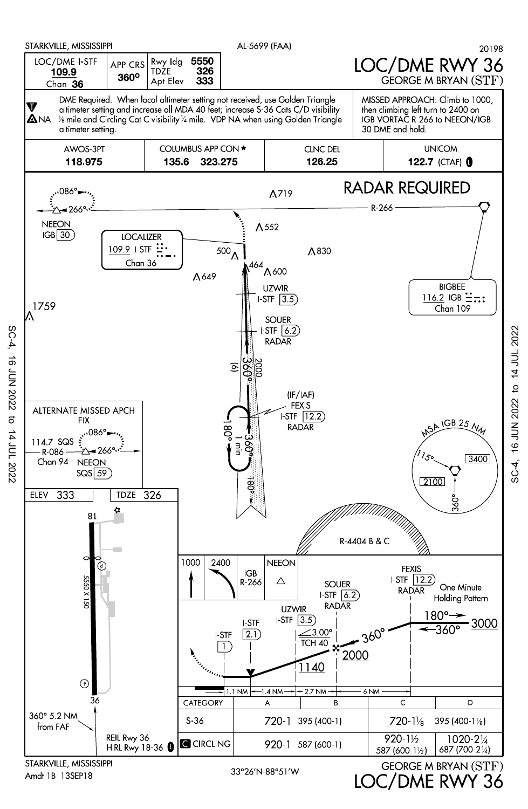

Amdt 1B 13SEP18

SC-4, 16 JUN 2022 to 14 JUL 2022

 $\vec{c}$ 

14 JUL 2022

**16 JUN 2022** 

 $SC-4$ ,

LOC/DME RWY 36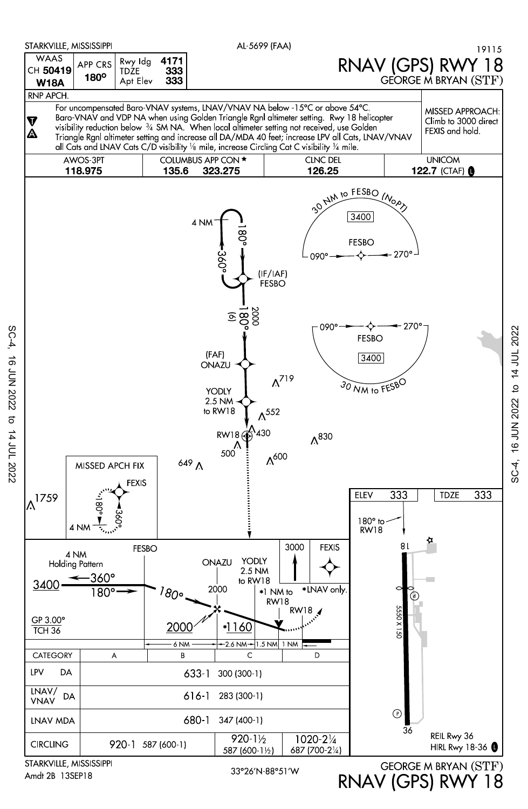

Amdt 2B 13SEP18

SC-4, 16 JUN 2022 to 14 JUL 2022

16 JUN 2022

SC-4,

RNAV (GPS) RWY 18